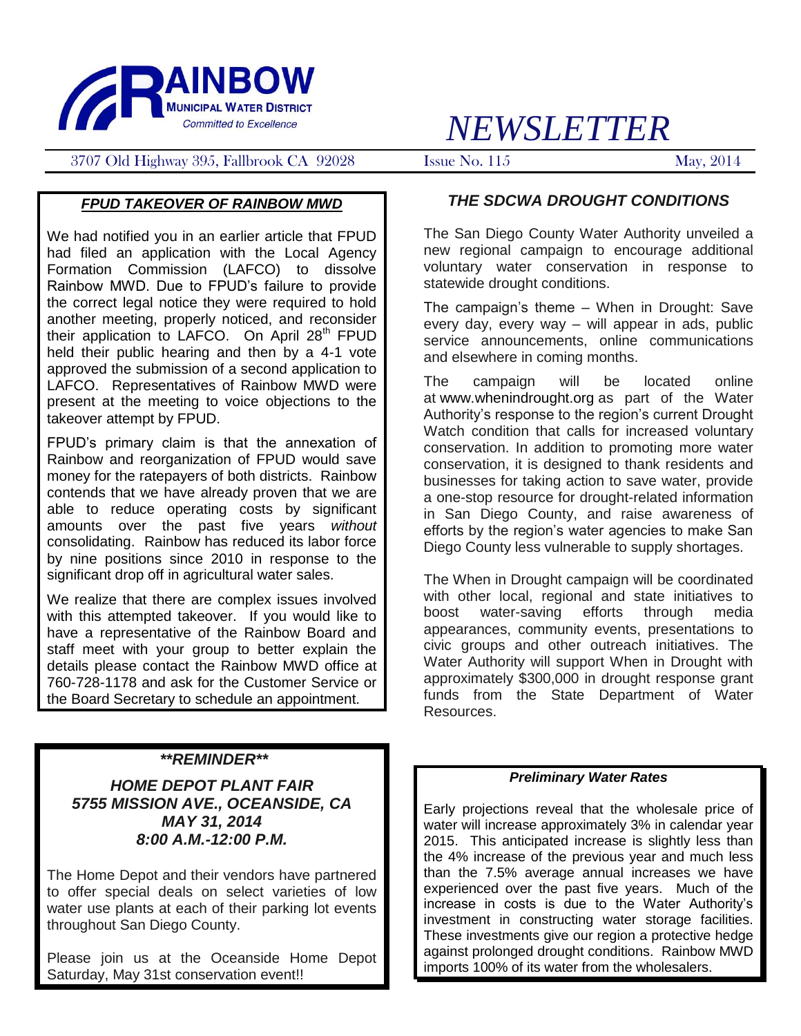

# *NEWSLETTER*

3707 Old Highway 395, Fallbrook CA 92028 Issue No. 115 May, 2014

#### *FPUD TAKEOVER OF RAINBOW MWD*

We had notified you in an earlier article that FPUD had filed an application with the Local Agency Formation Commission (LAFCO) to dissolve Rainbow MWD. Due to FPUD's failure to provide the correct legal notice they were required to hold another meeting, properly noticed, and reconsider their application to LAFCO. On April  $28<sup>th</sup>$  FPUD held their public hearing and then by a 4-1 vote approved the submission of a second application to LAFCO. Representatives of Rainbow MWD were present at the meeting to voice objections to the takeover attempt by FPUD.

FPUD's primary claim is that the annexation of Rainbow and reorganization of FPUD would save money for the ratepayers of both districts. Rainbow contends that we have already proven that we are able to reduce operating costs by significant amounts over the past five years *without* consolidating. Rainbow has reduced its labor force by nine positions since 2010 in response to the significant drop off in agricultural water sales.

We realize that there are complex issues involved with this attempted takeover. If you would like to have a representative of the Rainbow Board and staff meet with your group to better explain the details please contact the Rainbow MWD office at 760-728-1178 and ask for the Customer Service or the Board Secretary to schedule an appointment.

### *\*\*REMINDER\*\**

*HOME DEPOT PLANT FAIR 5755 MISSION AVE., OCEANSIDE, CA MAY 31, 2014 8:00 A.M.-12:00 P.M.*

The Home Depot and their vendors have partnered to offer special deals on select varieties of low water use plants at each of their parking lot events throughout San Diego County.

Please join us at the Oceanside Home Depot Saturday, May 31st conservation event!!

#### *THE SDCWA DROUGHT CONDITIONS*

The San Diego County Water Authority unveiled a new regional campaign to encourage additional voluntary water conservation in response to statewide drought conditions.

The campaign's theme – When in Drought: Save every day, every way – will appear in ads, public service announcements, online communications and elsewhere in coming months.

The campaign will be located online at [www.whenindrought.org](http://www.whenindrought.org/) as part of the Water Authority's response to the region's current Drought Watch condition that calls for increased voluntary conservation. In addition to promoting more water conservation, it is designed to thank residents and businesses for taking action to save water, provide a one-stop resource for drought-related information in San Diego County, and raise awareness of efforts by the region's water agencies to make San Diego County less vulnerable to supply shortages.

The When in Drought campaign will be coordinated with other local, regional and state initiatives to boost water-saving efforts through media appearances, community events, presentations to civic groups and other outreach initiatives. The Water Authority will support When in Drought with approximately \$300,000 in drought response grant funds from the State Department of Water Resources.

#### *Preliminary Water Rates*

Early projections reveal that the wholesale price of water will increase approximately 3% in calendar year 2015. This anticipated increase is slightly less than the 4% increase of the previous year and much less than the 7.5% average annual increases we have experienced over the past five years. Much of the increase in costs is due to the Water Authority's investment in constructing water storage facilities. These investments give our region a protective hedge against prolonged drought conditions. Rainbow MWD imports 100% of its water from the wholesalers.